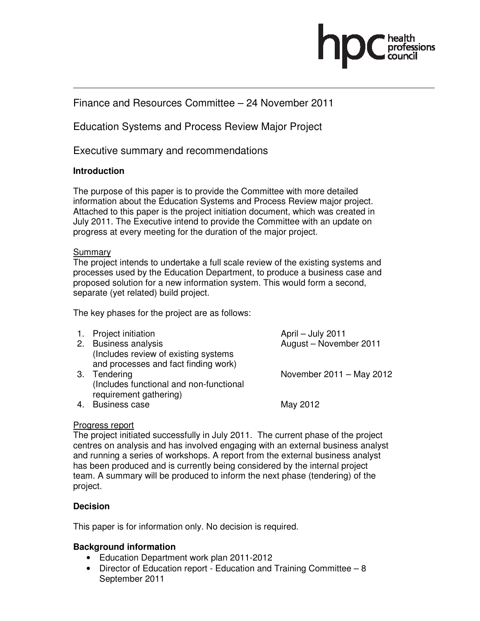

## Finance and Resources Committee – 24 November 2011

Education Systems and Process Review Major Project

Executive summary and recommendations

#### **Introduction**

The purpose of this paper is to provide the Committee with more detailed information about the Education Systems and Process Review major project. Attached to this paper is the project initiation document, which was created in July 2011. The Executive intend to provide the Committee with an update on progress at every meeting for the duration of the major project.

#### **Summary**

The project intends to undertake a full scale review of the existing systems and processes used by the Education Department, to produce a business case and proposed solution for a new information system. This would form a second, separate (yet related) build project.

The key phases for the project are as follows:

|    | 1. Project initiation                   | April - July 2011        |
|----|-----------------------------------------|--------------------------|
|    | 2. Business analysis                    | August - November 2011   |
|    | (Includes review of existing systems)   |                          |
|    | and processes and fact finding work)    |                          |
| 3. | Tendering                               | November 2011 – May 2012 |
|    | (Includes functional and non-functional |                          |
|    | requirement gathering)                  |                          |
|    | <b>Business case</b>                    | May 2012                 |

#### Progress report

The project initiated successfully in July 2011. The current phase of the project centres on analysis and has involved engaging with an external business analyst and running a series of workshops. A report from the external business analyst has been produced and is currently being considered by the internal project team. A summary will be produced to inform the next phase (tendering) of the project.

#### **Decision**

This paper is for information only. No decision is required.

#### **Background information**

- Education Department work plan 2011-2012
- Director of Education report Education and Training Committee 8 September 2011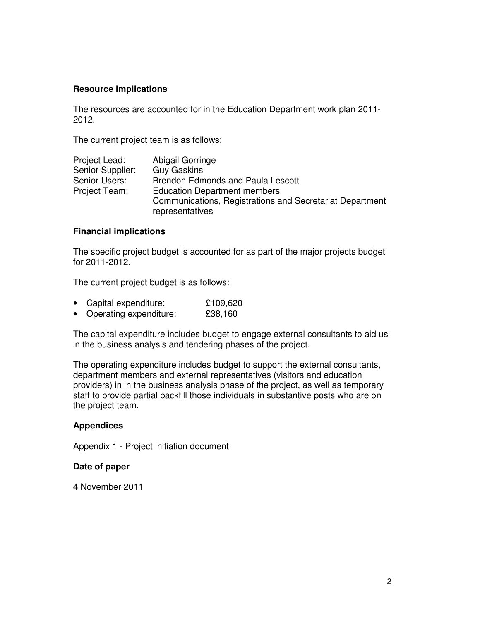#### **Resource implications**

The resources are accounted for in the Education Department work plan 2011- 2012.

The current project team is as follows:

| Project Lead:    | Abigail Gorringe                                         |
|------------------|----------------------------------------------------------|
| Senior Supplier: | <b>Guy Gaskins</b>                                       |
| Senior Users:    | <b>Brendon Edmonds and Paula Lescott</b>                 |
| Project Team:    | <b>Education Department members</b>                      |
|                  | Communications, Registrations and Secretariat Department |
|                  | representatives                                          |

#### **Financial implications**

The specific project budget is accounted for as part of the major projects budget for 2011-2012.

The current project budget is as follows:

|  | Capital expenditure: | £109,620 |
|--|----------------------|----------|
|--|----------------------|----------|

• Operating expenditure: £38,160

The capital expenditure includes budget to engage external consultants to aid us in the business analysis and tendering phases of the project.

The operating expenditure includes budget to support the external consultants, department members and external representatives (visitors and education providers) in in the business analysis phase of the project, as well as temporary staff to provide partial backfill those individuals in substantive posts who are on the project team.

#### **Appendices**

Appendix 1 - Project initiation document

#### **Date of paper**

4 November 2011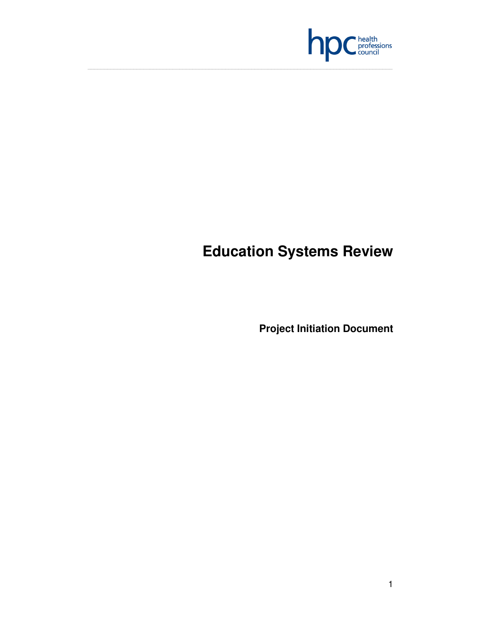

# **Education Systems Review**

\_\_\_\_\_\_\_\_\_\_\_\_\_\_\_\_\_\_\_\_\_\_\_\_\_\_\_\_\_\_\_\_\_\_\_\_\_\_\_\_\_\_\_\_\_\_\_\_\_\_\_\_\_\_\_\_\_\_\_\_\_\_\_\_\_\_\_\_\_\_\_\_\_\_\_\_\_\_\_\_\_\_\_\_\_\_\_\_\_\_\_\_\_

**Project Initiation Document**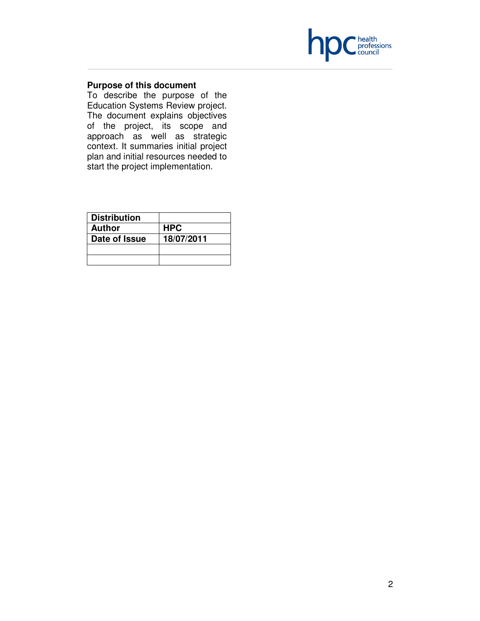

#### **Purpose of this document**

To describe the purpose of the Education Systems Review project. The document explains objectives of the project, its scope and approach as well as strategic context. It summaries initial project plan and initial resources needed to start the project implementation.

\_\_\_\_\_\_\_\_\_\_\_\_\_\_\_\_\_\_\_\_\_\_\_\_\_\_\_\_\_\_\_\_\_\_\_\_\_\_\_\_\_\_\_\_\_\_\_\_\_\_\_\_\_\_\_\_\_\_\_\_\_\_\_\_\_\_\_\_\_\_\_\_\_\_\_\_\_\_\_\_\_\_\_\_\_\_\_\_\_\_\_\_\_

| <b>Distribution</b> |            |
|---------------------|------------|
| Author              | <b>HPC</b> |
| Date of Issue       | 18/07/2011 |
|                     |            |
|                     |            |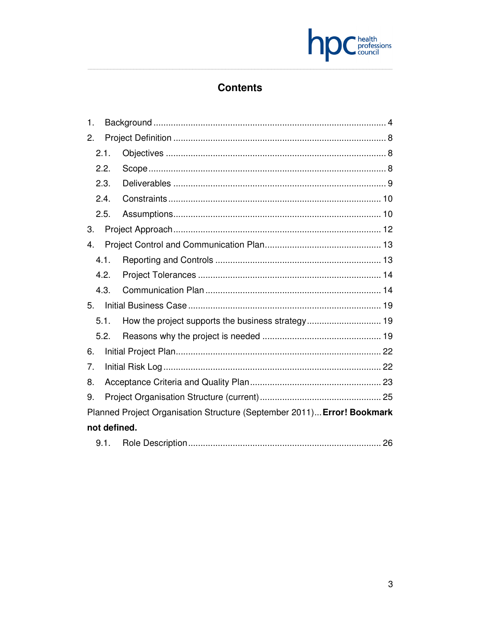

## **Contents**

| $\mathbf{1}$ .   |         |                                                                         |  |
|------------------|---------|-------------------------------------------------------------------------|--|
| 2.               |         |                                                                         |  |
|                  | 2.1.    |                                                                         |  |
|                  | 2.2.    |                                                                         |  |
|                  | 2.3.    |                                                                         |  |
|                  | 2.4.    |                                                                         |  |
|                  | 2.5.    |                                                                         |  |
| 3.               |         |                                                                         |  |
| $\overline{4}$ . |         |                                                                         |  |
|                  | 4.1.    |                                                                         |  |
|                  | 4.2.    |                                                                         |  |
|                  | 4.3.    |                                                                         |  |
| 5.               |         |                                                                         |  |
|                  | 5.1.    | How the project supports the business strategy 19                       |  |
|                  | 5.2.    |                                                                         |  |
| 6.               |         |                                                                         |  |
| 7.               |         |                                                                         |  |
| 8.               |         |                                                                         |  |
| 9.               |         |                                                                         |  |
|                  |         | Planned Project Organisation Structure (September 2011) Error! Bookmark |  |
|                  |         | not defined.                                                            |  |
|                  | $9.1$ . |                                                                         |  |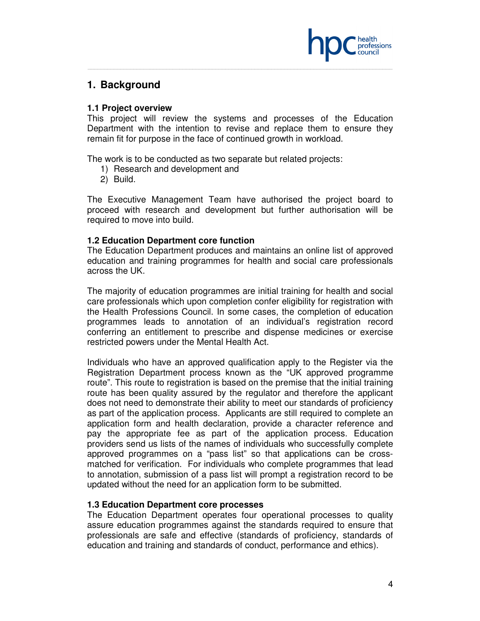

## **1. Background**

#### **1.1 Project overview**

This project will review the systems and processes of the Education Department with the intention to revise and replace them to ensure they remain fit for purpose in the face of continued growth in workload.

\_\_\_\_\_\_\_\_\_\_\_\_\_\_\_\_\_\_\_\_\_\_\_\_\_\_\_\_\_\_\_\_\_\_\_\_\_\_\_\_\_\_\_\_\_\_\_\_\_\_\_\_\_\_\_\_\_\_\_\_\_\_\_\_\_\_\_\_\_\_\_\_\_\_\_\_\_\_\_\_\_\_\_\_\_\_\_\_\_\_\_\_\_

The work is to be conducted as two separate but related projects:

- 1) Research and development and
- 2) Build.

The Executive Management Team have authorised the project board to proceed with research and development but further authorisation will be required to move into build.

#### **1.2 Education Department core function**

The Education Department produces and maintains an online list of approved education and training programmes for health and social care professionals across the UK.

The majority of education programmes are initial training for health and social care professionals which upon completion confer eligibility for registration with the Health Professions Council. In some cases, the completion of education programmes leads to annotation of an individual's registration record conferring an entitlement to prescribe and dispense medicines or exercise restricted powers under the Mental Health Act.

Individuals who have an approved qualification apply to the Register via the Registration Department process known as the "UK approved programme route". This route to registration is based on the premise that the initial training route has been quality assured by the regulator and therefore the applicant does not need to demonstrate their ability to meet our standards of proficiency as part of the application process. Applicants are still required to complete an application form and health declaration, provide a character reference and pay the appropriate fee as part of the application process. Education providers send us lists of the names of individuals who successfully complete approved programmes on a "pass list" so that applications can be crossmatched for verification. For individuals who complete programmes that lead to annotation, submission of a pass list will prompt a registration record to be updated without the need for an application form to be submitted.

#### **1.3 Education Department core processes**

The Education Department operates four operational processes to quality assure education programmes against the standards required to ensure that professionals are safe and effective (standards of proficiency, standards of education and training and standards of conduct, performance and ethics).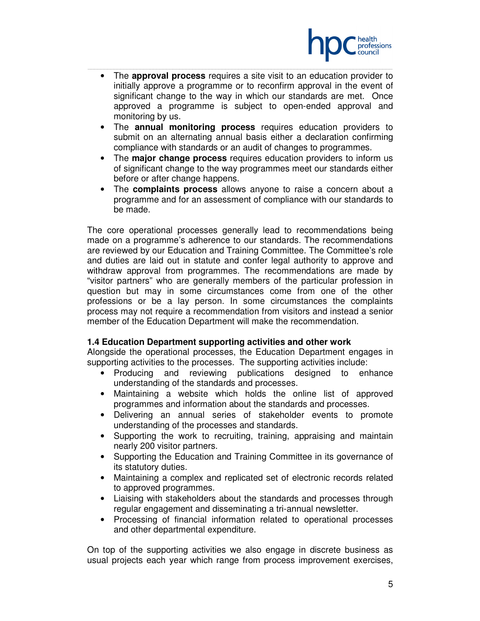

• The **approval process** requires a site visit to an education provider to initially approve a programme or to reconfirm approval in the event of significant change to the way in which our standards are met. Once approved a programme is subject to open-ended approval and monitoring by us.

\_\_\_\_\_\_\_\_\_\_\_\_\_\_\_\_\_\_\_\_\_\_\_\_\_\_\_\_\_\_\_\_\_\_\_\_\_\_\_\_\_\_\_\_\_\_\_\_\_\_\_\_\_\_\_\_\_\_\_\_\_\_\_\_\_\_\_\_\_\_\_\_\_\_\_\_\_\_\_\_\_\_\_\_\_\_\_\_\_\_\_\_\_

- The **annual monitoring process** requires education providers to submit on an alternating annual basis either a declaration confirming compliance with standards or an audit of changes to programmes.
- The **major change process** requires education providers to inform us of significant change to the way programmes meet our standards either before or after change happens.
- The **complaints process** allows anyone to raise a concern about a programme and for an assessment of compliance with our standards to be made.

The core operational processes generally lead to recommendations being made on a programme's adherence to our standards. The recommendations are reviewed by our Education and Training Committee. The Committee's role and duties are laid out in statute and confer legal authority to approve and withdraw approval from programmes. The recommendations are made by "visitor partners" who are generally members of the particular profession in question but may in some circumstances come from one of the other professions or be a lay person. In some circumstances the complaints process may not require a recommendation from visitors and instead a senior member of the Education Department will make the recommendation.

#### **1.4 Education Department supporting activities and other work**

Alongside the operational processes, the Education Department engages in supporting activities to the processes. The supporting activities include:

- Producing and reviewing publications designed to enhance understanding of the standards and processes.
- Maintaining a website which holds the online list of approved programmes and information about the standards and processes.
- Delivering an annual series of stakeholder events to promote understanding of the processes and standards.
- Supporting the work to recruiting, training, appraising and maintain nearly 200 visitor partners.
- Supporting the Education and Training Committee in its governance of its statutory duties.
- Maintaining a complex and replicated set of electronic records related to approved programmes.
- Liaising with stakeholders about the standards and processes through regular engagement and disseminating a tri-annual newsletter.
- Processing of financial information related to operational processes and other departmental expenditure.

On top of the supporting activities we also engage in discrete business as usual projects each year which range from process improvement exercises,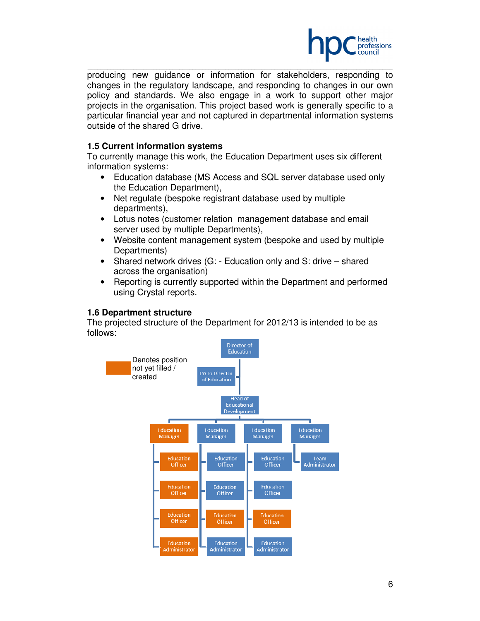

producing new guidance or information for stakeholders, responding to changes in the regulatory landscape, and responding to changes in our own policy and standards. We also engage in a work to support other major projects in the organisation. This project based work is generally specific to a particular financial year and not captured in departmental information systems outside of the shared G drive.

\_\_\_\_\_\_\_\_\_\_\_\_\_\_\_\_\_\_\_\_\_\_\_\_\_\_\_\_\_\_\_\_\_\_\_\_\_\_\_\_\_\_\_\_\_\_\_\_\_\_\_\_\_\_\_\_\_\_\_\_\_\_\_\_\_\_\_\_\_\_\_\_\_\_\_\_\_\_\_\_\_\_\_\_\_\_\_\_\_\_\_\_\_

#### **1.5 Current information systems**

To currently manage this work, the Education Department uses six different information systems:

- Education database (MS Access and SQL server database used only the Education Department),
- Net regulate (bespoke registrant database used by multiple departments),
- Lotus notes (customer relation management database and email server used by multiple Departments),
- Website content management system (bespoke and used by multiple Departments)
- Shared network drives (G: Education only and S: drive shared across the organisation)
- Reporting is currently supported within the Department and performed using Crystal reports.

#### **1.6 Department structure**

The projected structure of the Department for 2012/13 is intended to be as follows:

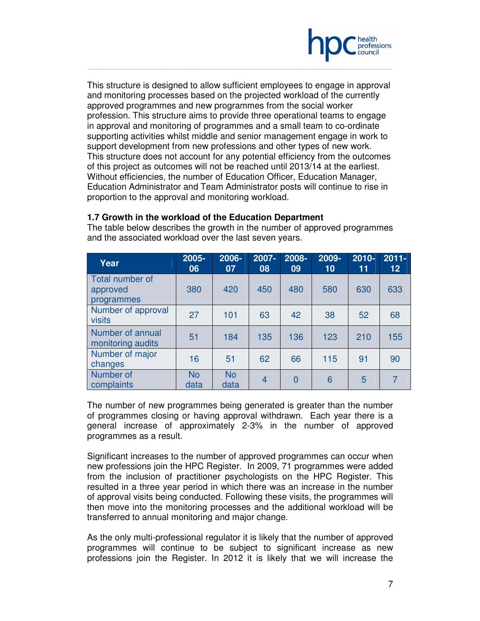

This structure is designed to allow sufficient employees to engage in approval and monitoring processes based on the projected workload of the currently approved programmes and new programmes from the social worker profession. This structure aims to provide three operational teams to engage in approval and monitoring of programmes and a small team to co-ordinate supporting activities whilst middle and senior management engage in work to support development from new professions and other types of new work. This structure does not account for any potential efficiency from the outcomes of this project as outcomes will not be reached until 2013/14 at the earliest. Without efficiencies, the number of Education Officer, Education Manager, Education Administrator and Team Administrator posts will continue to rise in proportion to the approval and monitoring workload.

\_\_\_\_\_\_\_\_\_\_\_\_\_\_\_\_\_\_\_\_\_\_\_\_\_\_\_\_\_\_\_\_\_\_\_\_\_\_\_\_\_\_\_\_\_\_\_\_\_\_\_\_\_\_\_\_\_\_\_\_\_\_\_\_\_\_\_\_\_\_\_\_\_\_\_\_\_\_\_\_\_\_\_\_\_\_\_\_\_\_\_\_\_

| Year                                      | 2005-<br>06       | 2006-<br>07       | 2007-<br>08    | 2008-<br>09    | 2009-<br>10 | $2010 -$<br>11 | $2011 -$<br>12 <sup>°</sup> |
|-------------------------------------------|-------------------|-------------------|----------------|----------------|-------------|----------------|-----------------------------|
| Total number of<br>approved<br>programmes | 380               | 420               | 450            | 480            | 580         | 630            | 633                         |
| Number of approval<br><b>visits</b>       | 27                | 101               | 63             | 42             | 38          | 52             | 68                          |
| Number of annual<br>monitoring audits     | 51                | 184               | 135            | 136            | 123         | 210            | 155                         |
| Number of major<br>changes                | 16                | 51                | 62             | 66             | 115         | 91             | 90                          |
| Number of<br>complaints                   | <b>No</b><br>data | <b>No</b><br>data | $\overline{4}$ | $\overline{0}$ | 6           | 5              |                             |

**1.7 Growth in the workload of the Education Department** 

The table below describes the growth in the number of approved programmes and the associated workload over the last seven years.

The number of new programmes being generated is greater than the number of programmes closing or having approval withdrawn. Each year there is a general increase of approximately 2-3% in the number of approved programmes as a result.

Significant increases to the number of approved programmes can occur when new professions join the HPC Register. In 2009, 71 programmes were added from the inclusion of practitioner psychologists on the HPC Register. This resulted in a three year period in which there was an increase in the number of approval visits being conducted. Following these visits, the programmes will then move into the monitoring processes and the additional workload will be transferred to annual monitoring and major change.

As the only multi-professional regulator it is likely that the number of approved programmes will continue to be subject to significant increase as new professions join the Register. In 2012 it is likely that we will increase the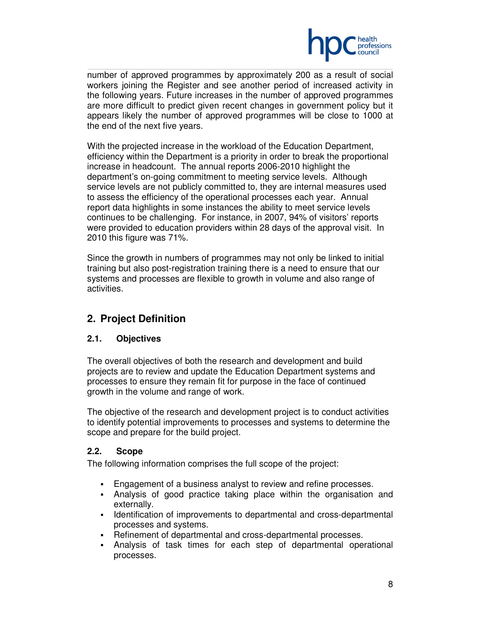

number of approved programmes by approximately 200 as a result of social workers joining the Register and see another period of increased activity in the following years. Future increases in the number of approved programmes are more difficult to predict given recent changes in government policy but it appears likely the number of approved programmes will be close to 1000 at the end of the next five years.

\_\_\_\_\_\_\_\_\_\_\_\_\_\_\_\_\_\_\_\_\_\_\_\_\_\_\_\_\_\_\_\_\_\_\_\_\_\_\_\_\_\_\_\_\_\_\_\_\_\_\_\_\_\_\_\_\_\_\_\_\_\_\_\_\_\_\_\_\_\_\_\_\_\_\_\_\_\_\_\_\_\_\_\_\_\_\_\_\_\_\_\_\_

With the projected increase in the workload of the Education Department, efficiency within the Department is a priority in order to break the proportional increase in headcount. The annual reports 2006-2010 highlight the department's on-going commitment to meeting service levels. Although service levels are not publicly committed to, they are internal measures used to assess the efficiency of the operational processes each year. Annual report data highlights in some instances the ability to meet service levels continues to be challenging. For instance, in 2007, 94% of visitors' reports were provided to education providers within 28 days of the approval visit. In 2010 this figure was 71%.

Since the growth in numbers of programmes may not only be linked to initial training but also post-registration training there is a need to ensure that our systems and processes are flexible to growth in volume and also range of activities.

## **2. Project Definition**

#### **2.1. Objectives**

The overall objectives of both the research and development and build projects are to review and update the Education Department systems and processes to ensure they remain fit for purpose in the face of continued growth in the volume and range of work.

The objective of the research and development project is to conduct activities to identify potential improvements to processes and systems to determine the scope and prepare for the build project.

#### **2.2. Scope**

The following information comprises the full scope of the project:

- Engagement of a business analyst to review and refine processes.
- Analysis of good practice taking place within the organisation and externally.
- Inter-Identification of improvements to departmental and cross-departmental processes and systems.
- Refinement of departmental and cross-departmental processes.
- Analysis of task times for each step of departmental operational processes.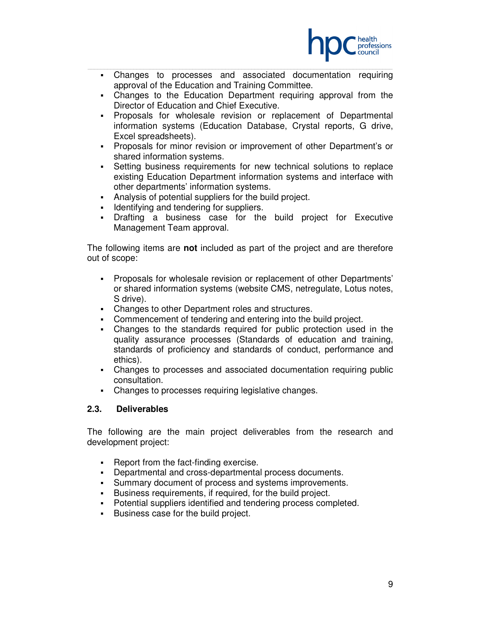

 Changes to processes and associated documentation requiring approval of the Education and Training Committee.

\_\_\_\_\_\_\_\_\_\_\_\_\_\_\_\_\_\_\_\_\_\_\_\_\_\_\_\_\_\_\_\_\_\_\_\_\_\_\_\_\_\_\_\_\_\_\_\_\_\_\_\_\_\_\_\_\_\_\_\_\_\_\_\_\_\_\_\_\_\_\_\_\_\_\_\_\_\_\_\_\_\_\_\_\_\_\_\_\_\_\_\_\_

- Changes to the Education Department requiring approval from the Director of Education and Chief Executive.
- Proposals for wholesale revision or replacement of Departmental information systems (Education Database, Crystal reports, G drive, Excel spreadsheets).
- Proposals for minor revision or improvement of other Department's or shared information systems.
- Setting business requirements for new technical solutions to replace existing Education Department information systems and interface with other departments' information systems.
- Analysis of potential suppliers for the build project.
- Identifying and tendering for suppliers.
- Drafting a business case for the build project for Executive Management Team approval.

The following items are **not** included as part of the project and are therefore out of scope:

- Proposals for wholesale revision or replacement of other Departments' or shared information systems (website CMS, netregulate, Lotus notes, S drive).
- Changes to other Department roles and structures.
- Commencement of tendering and entering into the build project.
- Changes to the standards required for public protection used in the quality assurance processes (Standards of education and training, standards of proficiency and standards of conduct, performance and ethics).
- Changes to processes and associated documentation requiring public consultation.
- Changes to processes requiring legislative changes.

#### **2.3. Deliverables**

The following are the main project deliverables from the research and development project:

- **Report from the fact-finding exercise.**
- Departmental and cross-departmental process documents.
- Summary document of process and systems improvements.
- Business requirements, if required, for the build project.
- Potential suppliers identified and tendering process completed.
- Business case for the build project.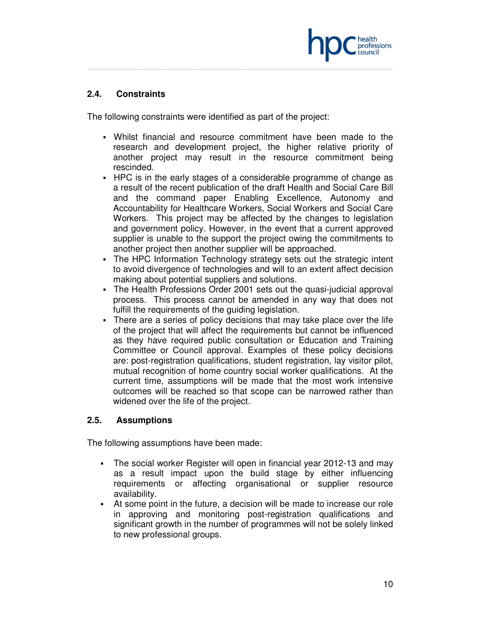

#### **2.4. Constraints**

The following constraints were identified as part of the project:

 Whilst financial and resource commitment have been made to the research and development project, the higher relative priority of another project may result in the resource commitment being rescinded.

\_\_\_\_\_\_\_\_\_\_\_\_\_\_\_\_\_\_\_\_\_\_\_\_\_\_\_\_\_\_\_\_\_\_\_\_\_\_\_\_\_\_\_\_\_\_\_\_\_\_\_\_\_\_\_\_\_\_\_\_\_\_\_\_\_\_\_\_\_\_\_\_\_\_\_\_\_\_\_\_\_\_\_\_\_\_\_\_\_\_\_\_\_

- HPC is in the early stages of a considerable programme of change as a result of the recent publication of the draft Health and Social Care Bill and the command paper Enabling Excellence, Autonomy and Accountability for Healthcare Workers, Social Workers and Social Care Workers. This project may be affected by the changes to legislation and government policy. However, in the event that a current approved supplier is unable to the support the project owing the commitments to another project then another supplier will be approached.
- The HPC Information Technology strategy sets out the strategic intent to avoid divergence of technologies and will to an extent affect decision making about potential suppliers and solutions.
- The Health Professions Order 2001 sets out the quasi-judicial approval process. This process cannot be amended in any way that does not fulfill the requirements of the guiding legislation.
- There are a series of policy decisions that may take place over the life of the project that will affect the requirements but cannot be influenced as they have required public consultation or Education and Training Committee or Council approval. Examples of these policy decisions are: post-registration qualifications, student registration, lay visitor pilot, mutual recognition of home country social worker qualifications. At the current time, assumptions will be made that the most work intensive outcomes will be reached so that scope can be narrowed rather than widened over the life of the project.

#### **2.5. Assumptions**

The following assumptions have been made:

- The social worker Register will open in financial year 2012-13 and may as a result impact upon the build stage by either influencing requirements or affecting organisational or supplier resource availability.
- At some point in the future, a decision will be made to increase our role in approving and monitoring post-registration qualifications and significant growth in the number of programmes will not be solely linked to new professional groups.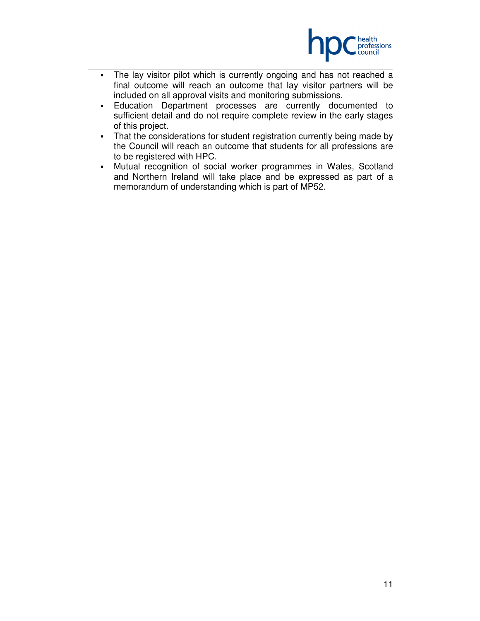

- \_\_\_\_\_\_\_\_\_\_\_\_\_\_\_\_\_\_\_\_\_\_\_\_\_\_\_\_\_\_\_\_\_\_\_\_\_\_\_\_\_\_\_\_\_\_\_\_\_\_\_\_\_\_\_\_\_\_\_\_\_\_\_\_\_\_\_\_\_\_\_\_\_\_\_\_\_\_\_\_\_\_\_\_\_\_\_\_\_\_\_\_\_ The lay visitor pilot which is currently ongoing and has not reached a final outcome will reach an outcome that lay visitor partners will be included on all approval visits and monitoring submissions.
	- Education Department processes are currently documented to sufficient detail and do not require complete review in the early stages of this project.
	- That the considerations for student registration currently being made by the Council will reach an outcome that students for all professions are to be registered with HPC.
	- Mutual recognition of social worker programmes in Wales, Scotland and Northern Ireland will take place and be expressed as part of a memorandum of understanding which is part of MP52.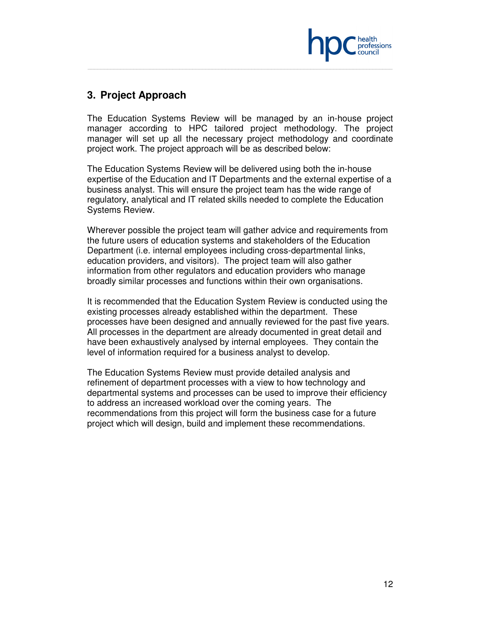

## **3. Project Approach**

The Education Systems Review will be managed by an in-house project manager according to HPC tailored project methodology. The project manager will set up all the necessary project methodology and coordinate project work. The project approach will be as described below:

\_\_\_\_\_\_\_\_\_\_\_\_\_\_\_\_\_\_\_\_\_\_\_\_\_\_\_\_\_\_\_\_\_\_\_\_\_\_\_\_\_\_\_\_\_\_\_\_\_\_\_\_\_\_\_\_\_\_\_\_\_\_\_\_\_\_\_\_\_\_\_\_\_\_\_\_\_\_\_\_\_\_\_\_\_\_\_\_\_\_\_\_\_

The Education Systems Review will be delivered using both the in-house expertise of the Education and IT Departments and the external expertise of a business analyst. This will ensure the project team has the wide range of regulatory, analytical and IT related skills needed to complete the Education Systems Review.

Wherever possible the project team will gather advice and requirements from the future users of education systems and stakeholders of the Education Department (i.e. internal employees including cross-departmental links, education providers, and visitors). The project team will also gather information from other regulators and education providers who manage broadly similar processes and functions within their own organisations.

It is recommended that the Education System Review is conducted using the existing processes already established within the department. These processes have been designed and annually reviewed for the past five years. All processes in the department are already documented in great detail and have been exhaustively analysed by internal employees. They contain the level of information required for a business analyst to develop.

The Education Systems Review must provide detailed analysis and refinement of department processes with a view to how technology and departmental systems and processes can be used to improve their efficiency to address an increased workload over the coming years. The recommendations from this project will form the business case for a future project which will design, build and implement these recommendations.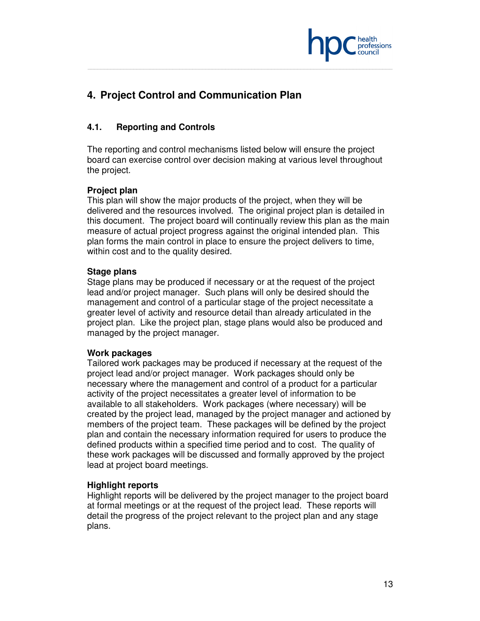

## **4. Project Control and Communication Plan**

#### **4.1. Reporting and Controls**

The reporting and control mechanisms listed below will ensure the project board can exercise control over decision making at various level throughout the project.

\_\_\_\_\_\_\_\_\_\_\_\_\_\_\_\_\_\_\_\_\_\_\_\_\_\_\_\_\_\_\_\_\_\_\_\_\_\_\_\_\_\_\_\_\_\_\_\_\_\_\_\_\_\_\_\_\_\_\_\_\_\_\_\_\_\_\_\_\_\_\_\_\_\_\_\_\_\_\_\_\_\_\_\_\_\_\_\_\_\_\_\_\_

#### **Project plan**

This plan will show the major products of the project, when they will be delivered and the resources involved. The original project plan is detailed in this document. The project board will continually review this plan as the main measure of actual project progress against the original intended plan. This plan forms the main control in place to ensure the project delivers to time, within cost and to the quality desired.

#### **Stage plans**

Stage plans may be produced if necessary or at the request of the project lead and/or project manager. Such plans will only be desired should the management and control of a particular stage of the project necessitate a greater level of activity and resource detail than already articulated in the project plan. Like the project plan, stage plans would also be produced and managed by the project manager.

#### **Work packages**

Tailored work packages may be produced if necessary at the request of the project lead and/or project manager. Work packages should only be necessary where the management and control of a product for a particular activity of the project necessitates a greater level of information to be available to all stakeholders. Work packages (where necessary) will be created by the project lead, managed by the project manager and actioned by members of the project team. These packages will be defined by the project plan and contain the necessary information required for users to produce the defined products within a specified time period and to cost. The quality of these work packages will be discussed and formally approved by the project lead at project board meetings.

#### **Highlight reports**

Highlight reports will be delivered by the project manager to the project board at formal meetings or at the request of the project lead. These reports will detail the progress of the project relevant to the project plan and any stage plans.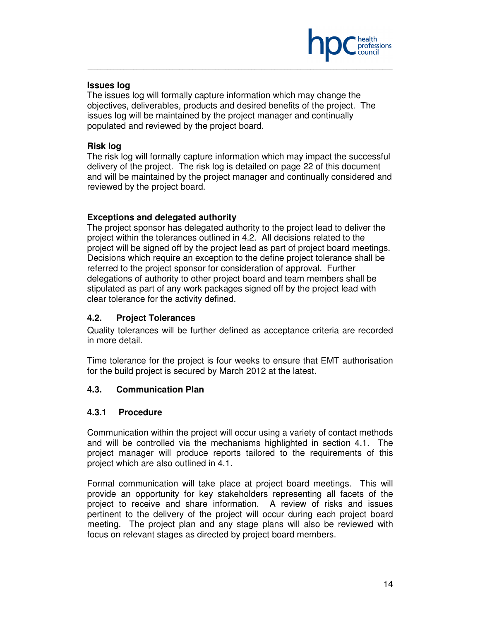

#### **Issues log**

The issues log will formally capture information which may change the objectives, deliverables, products and desired benefits of the project. The issues log will be maintained by the project manager and continually populated and reviewed by the project board.

\_\_\_\_\_\_\_\_\_\_\_\_\_\_\_\_\_\_\_\_\_\_\_\_\_\_\_\_\_\_\_\_\_\_\_\_\_\_\_\_\_\_\_\_\_\_\_\_\_\_\_\_\_\_\_\_\_\_\_\_\_\_\_\_\_\_\_\_\_\_\_\_\_\_\_\_\_\_\_\_\_\_\_\_\_\_\_\_\_\_\_\_\_

#### **Risk log**

The risk log will formally capture information which may impact the successful delivery of the project. The risk log is detailed on page 22 of this document and will be maintained by the project manager and continually considered and reviewed by the project board.

#### **Exceptions and delegated authority**

The project sponsor has delegated authority to the project lead to deliver the project within the tolerances outlined in 4.2. All decisions related to the project will be signed off by the project lead as part of project board meetings. Decisions which require an exception to the define project tolerance shall be referred to the project sponsor for consideration of approval. Further delegations of authority to other project board and team members shall be stipulated as part of any work packages signed off by the project lead with clear tolerance for the activity defined.

#### **4.2. Project Tolerances**

Quality tolerances will be further defined as acceptance criteria are recorded in more detail.

Time tolerance for the project is four weeks to ensure that EMT authorisation for the build project is secured by March 2012 at the latest.

#### **4.3. Communication Plan**

#### **4.3.1 Procedure**

Communication within the project will occur using a variety of contact methods and will be controlled via the mechanisms highlighted in section 4.1. The project manager will produce reports tailored to the requirements of this project which are also outlined in 4.1.

Formal communication will take place at project board meetings. This will provide an opportunity for key stakeholders representing all facets of the project to receive and share information. A review of risks and issues pertinent to the delivery of the project will occur during each project board meeting. The project plan and any stage plans will also be reviewed with focus on relevant stages as directed by project board members.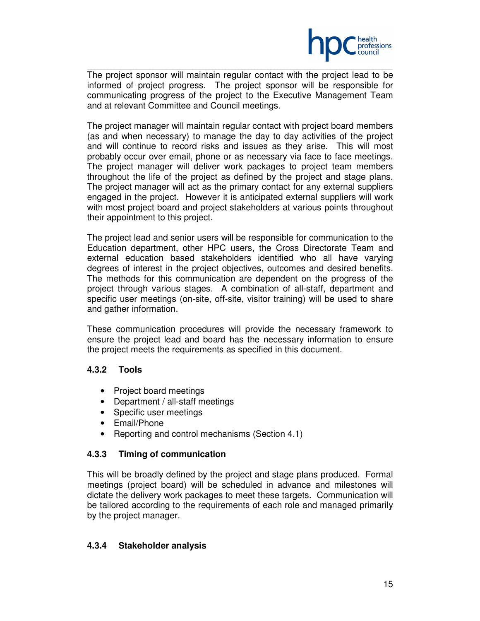

The project sponsor will maintain regular contact with the project lead to be informed of project progress. The project sponsor will be responsible for communicating progress of the project to the Executive Management Team and at relevant Committee and Council meetings.

\_\_\_\_\_\_\_\_\_\_\_\_\_\_\_\_\_\_\_\_\_\_\_\_\_\_\_\_\_\_\_\_\_\_\_\_\_\_\_\_\_\_\_\_\_\_\_\_\_\_\_\_\_\_\_\_\_\_\_\_\_\_\_\_\_\_\_\_\_\_\_\_\_\_\_\_\_\_\_\_\_\_\_\_\_\_\_\_\_\_\_\_\_

The project manager will maintain regular contact with project board members (as and when necessary) to manage the day to day activities of the project and will continue to record risks and issues as they arise. This will most probably occur over email, phone or as necessary via face to face meetings. The project manager will deliver work packages to project team members throughout the life of the project as defined by the project and stage plans. The project manager will act as the primary contact for any external suppliers engaged in the project. However it is anticipated external suppliers will work with most project board and project stakeholders at various points throughout their appointment to this project.

The project lead and senior users will be responsible for communication to the Education department, other HPC users, the Cross Directorate Team and external education based stakeholders identified who all have varying degrees of interest in the project objectives, outcomes and desired benefits. The methods for this communication are dependent on the progress of the project through various stages. A combination of all-staff, department and specific user meetings (on-site, off-site, visitor training) will be used to share and gather information.

These communication procedures will provide the necessary framework to ensure the project lead and board has the necessary information to ensure the project meets the requirements as specified in this document.

#### **4.3.2 Tools**

- Project board meetings
- Department / all-staff meetings
- Specific user meetings
- Email/Phone
- Reporting and control mechanisms (Section 4.1)

#### **4.3.3 Timing of communication**

This will be broadly defined by the project and stage plans produced. Formal meetings (project board) will be scheduled in advance and milestones will dictate the delivery work packages to meet these targets. Communication will be tailored according to the requirements of each role and managed primarily by the project manager.

#### **4.3.4 Stakeholder analysis**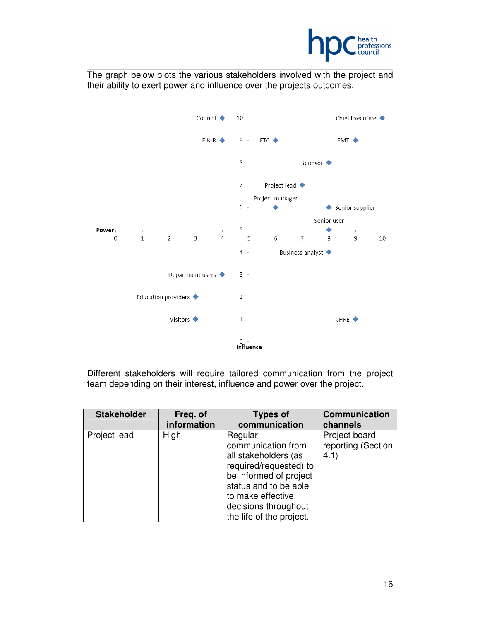

\_\_\_\_\_\_\_\_\_\_\_\_\_\_\_\_\_\_\_\_\_\_\_\_\_\_\_\_\_\_\_\_\_\_\_\_\_\_\_\_\_\_\_\_\_\_\_\_\_\_\_\_\_\_\_\_\_\_\_\_\_\_\_\_\_\_\_\_\_\_\_\_\_\_\_\_\_\_\_\_\_\_\_\_\_\_\_\_\_\_\_\_\_ The graph below plots the various stakeholders involved with the project and their ability to exert power and influence over the projects outcomes.



Different stakeholders will require tailored communication from the project team depending on their interest, influence and power over the project.

| <b>Stakeholder</b> | Freq. of    | <b>Types of</b>                                                                                                                                                                                             | <b>Communication</b>                        |
|--------------------|-------------|-------------------------------------------------------------------------------------------------------------------------------------------------------------------------------------------------------------|---------------------------------------------|
|                    | information | communication                                                                                                                                                                                               | channels                                    |
| Project lead       | High        | Regular<br>communication from<br>all stakeholders (as<br>required/requested) to<br>be informed of project<br>status and to be able<br>to make effective<br>decisions throughout<br>the life of the project. | Project board<br>reporting (Section<br>4.1) |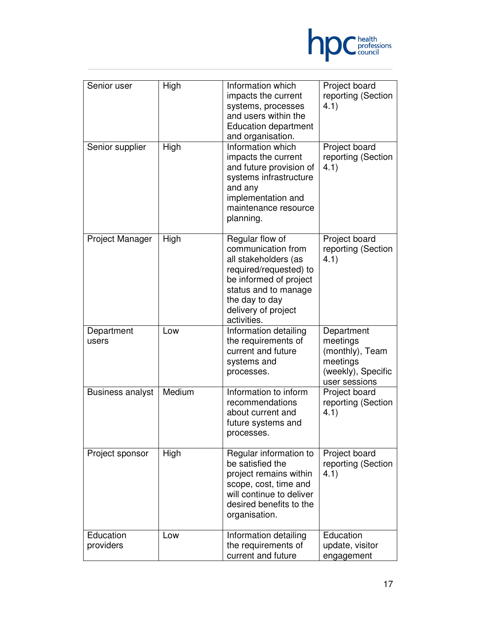

| Senior user             | High   | Information which<br>impacts the current<br>systems, processes<br>and users within the<br><b>Education department</b><br>and organisation.                                                        | Project board<br>reporting (Section<br>4.1)                                                  |
|-------------------------|--------|---------------------------------------------------------------------------------------------------------------------------------------------------------------------------------------------------|----------------------------------------------------------------------------------------------|
| Senior supplier         | High   | Information which<br>impacts the current<br>and future provision of<br>systems infrastructure<br>and any<br>implementation and<br>maintenance resource<br>planning.                               | Project board<br>reporting (Section<br>4.1)                                                  |
| Project Manager         | High   | Regular flow of<br>communication from<br>all stakeholders (as<br>required/requested) to<br>be informed of project<br>status and to manage<br>the day to day<br>delivery of project<br>activities. | Project board<br>reporting (Section<br>4.1)                                                  |
| Department<br>users     | Low    | Information detailing<br>the requirements of<br>current and future<br>systems and<br>processes.                                                                                                   | Department<br>meetings<br>(monthly), Team<br>meetings<br>(weekly), Specific<br>user sessions |
| <b>Business analyst</b> | Medium | Information to inform<br>recommendations<br>about current and<br>future systems and<br>processes.                                                                                                 | Project board<br>reporting (Section<br>4.1)                                                  |
| Project sponsor         | High   | Regular information to<br>be satisfied the<br>project remains within<br>scope, cost, time and<br>will continue to deliver<br>desired benefits to the<br>organisation.                             | Project board<br>reporting (Section<br>4.1)                                                  |
| Education<br>providers  | Low    | Information detailing<br>the requirements of<br>current and future                                                                                                                                | Education<br>update, visitor<br>engagement                                                   |

\_\_\_\_\_\_\_\_\_\_\_\_\_\_\_\_\_\_\_\_\_\_\_\_\_\_\_\_\_\_\_\_\_\_\_\_\_\_\_\_\_\_\_\_\_\_\_\_\_\_\_\_\_\_\_\_\_\_\_\_\_\_\_\_\_\_\_\_\_\_\_\_\_\_\_\_\_\_\_\_\_\_\_\_\_\_\_\_\_\_\_\_\_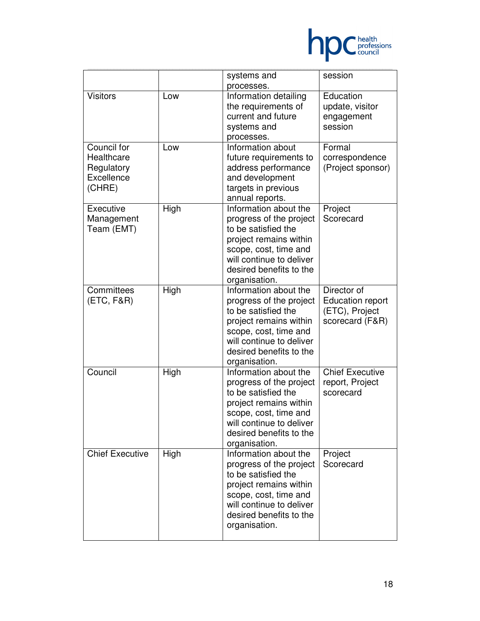

|                                                                 |      | systems and<br>processes.                                                                                                                                                                          | session                                                                     |
|-----------------------------------------------------------------|------|----------------------------------------------------------------------------------------------------------------------------------------------------------------------------------------------------|-----------------------------------------------------------------------------|
| <b>Visitors</b>                                                 | Low  | Information detailing<br>the requirements of<br>current and future<br>systems and<br>processes.                                                                                                    | Education<br>update, visitor<br>engagement<br>session                       |
| Council for<br>Healthcare<br>Regulatory<br>Excellence<br>(CHRE) | Low  | Information about<br>future requirements to<br>address performance<br>and development<br>targets in previous<br>annual reports.                                                                    | Formal<br>correspondence<br>(Project sponsor)                               |
| Executive<br>Management<br>Team (EMT)                           | High | Information about the<br>progress of the project<br>to be satisfied the<br>project remains within<br>scope, cost, time and<br>will continue to deliver<br>desired benefits to the<br>organisation. | Project<br>Scorecard                                                        |
| Committees<br>(ETC, F&R)                                        | High | Information about the<br>progress of the project<br>to be satisfied the<br>project remains within<br>scope, cost, time and<br>will continue to deliver<br>desired benefits to the<br>organisation. | Director of<br><b>Education report</b><br>(ETC), Project<br>scorecard (F&R) |
| Council                                                         | High | Information about the<br>progress of the project<br>to be satisfied the<br>project remains within<br>scope, cost, time and<br>will continue to deliver<br>desired benefits to the<br>organisation. | <b>Chief Executive</b><br>report, Project<br>scorecard                      |
| <b>Chief Executive</b>                                          | High | Information about the<br>progress of the project<br>to be satisfied the<br>project remains within<br>scope, cost, time and<br>will continue to deliver<br>desired benefits to the<br>organisation. | Project<br>Scorecard                                                        |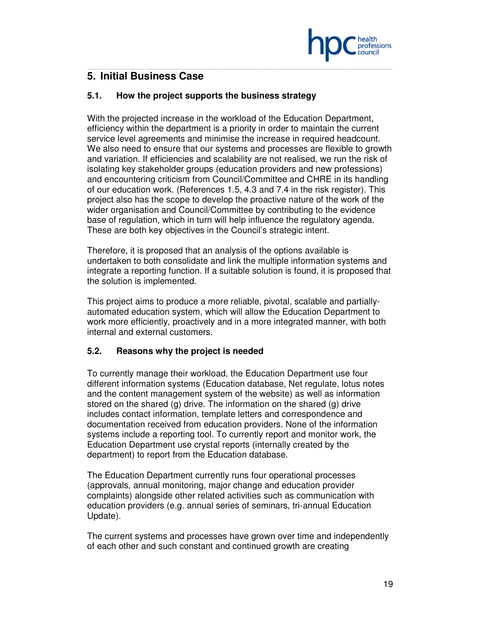

#### \_\_\_\_\_\_\_\_\_\_\_\_\_\_\_\_\_\_\_\_\_\_\_\_\_\_\_\_\_\_\_\_\_\_\_\_\_\_\_\_\_\_\_\_\_\_\_\_\_\_\_\_\_\_\_\_\_\_\_\_\_\_\_\_\_\_\_\_\_\_\_\_\_\_\_\_\_\_\_\_\_\_\_\_\_\_\_\_\_\_\_\_\_ **5. Initial Business Case**

#### **5.1. How the project supports the business strategy**

With the projected increase in the workload of the Education Department, efficiency within the department is a priority in order to maintain the current service level agreements and minimise the increase in required headcount. We also need to ensure that our systems and processes are flexible to growth and variation. If efficiencies and scalability are not realised, we run the risk of isolating key stakeholder groups (education providers and new professions) and encountering criticism from Council/Committee and CHRE in its handling of our education work. (References 1.5, 4.3 and 7.4 in the risk register). This project also has the scope to develop the proactive nature of the work of the wider organisation and Council/Committee by contributing to the evidence base of regulation, which in turn will help influence the regulatory agenda. These are both key objectives in the Council's strategic intent.

Therefore, it is proposed that an analysis of the options available is undertaken to both consolidate and link the multiple information systems and integrate a reporting function. If a suitable solution is found, it is proposed that the solution is implemented.

This project aims to produce a more reliable, pivotal, scalable and partiallyautomated education system, which will allow the Education Department to work more efficiently, proactively and in a more integrated manner, with both internal and external customers.

#### **5.2. Reasons why the project is needed**

To currently manage their workload, the Education Department use four different information systems (Education database, Net regulate, lotus notes and the content management system of the website) as well as information stored on the shared (g) drive. The information on the shared (g) drive includes contact information, template letters and correspondence and documentation received from education providers. None of the information systems include a reporting tool. To currently report and monitor work, the Education Department use crystal reports (internally created by the department) to report from the Education database.

The Education Department currently runs four operational processes (approvals, annual monitoring, major change and education provider complaints) alongside other related activities such as communication with education providers (e.g. annual series of seminars, tri-annual Education Update).

The current systems and processes have grown over time and independently of each other and such constant and continued growth are creating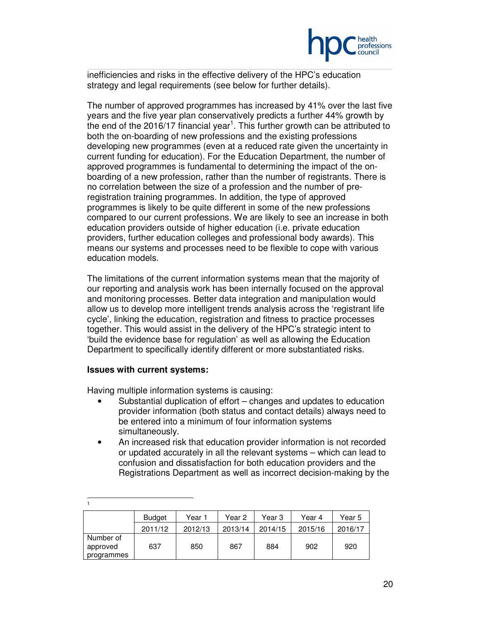

\_\_\_\_\_\_\_\_\_\_\_\_\_\_\_\_\_\_\_\_\_\_\_\_\_\_\_\_\_\_\_\_\_\_\_\_\_\_\_\_\_\_\_\_\_\_\_\_\_\_\_\_\_\_\_\_\_\_\_\_\_\_\_\_\_\_\_\_\_\_\_\_\_\_\_\_\_\_\_\_\_\_\_\_\_\_\_\_\_\_\_\_\_ inefficiencies and risks in the effective delivery of the HPC's education strategy and legal requirements (see below for further details).

The number of approved programmes has increased by 41% over the last five years and the five year plan conservatively predicts a further 44% growth by the end of the 2016/17 financial year<sup>1</sup>. This further growth can be attributed to both the on-boarding of new professions and the existing professions developing new programmes (even at a reduced rate given the uncertainty in current funding for education). For the Education Department, the number of approved programmes is fundamental to determining the impact of the onboarding of a new profession, rather than the number of registrants. There is no correlation between the size of a profession and the number of preregistration training programmes. In addition, the type of approved programmes is likely to be quite different in some of the new professions compared to our current professions. We are likely to see an increase in both education providers outside of higher education (i.e. private education providers, further education colleges and professional body awards). This means our systems and processes need to be flexible to cope with various education models.

The limitations of the current information systems mean that the majority of our reporting and analysis work has been internally focused on the approval and monitoring processes. Better data integration and manipulation would allow us to develop more intelligent trends analysis across the 'registrant life cycle', linking the education, registration and fitness to practice processes together. This would assist in the delivery of the HPC's strategic intent to 'build the evidence base for regulation' as well as allowing the Education Department to specifically identify different or more substantiated risks.

#### **Issues with current systems:**

Having multiple information systems is causing:

- Substantial duplication of effort changes and updates to education provider information (both status and contact details) always need to be entered into a minimum of four information systems simultaneously.
- An increased risk that education provider information is not recorded or updated accurately in all the relevant systems – which can lead to confusion and dissatisfaction for both education providers and the Registrations Department as well as incorrect decision-making by the

|                                     | <b>Budget</b> | Year 1  | Year 2  | Year 3  | Year 4  | Year 5  |
|-------------------------------------|---------------|---------|---------|---------|---------|---------|
|                                     | 2011/12       | 2012/13 | 2013/14 | 2014/15 | 2015/16 | 2016/17 |
| Number of<br>approved<br>programmes | 637           | 850     | 867     | 884     | 902     | 920     |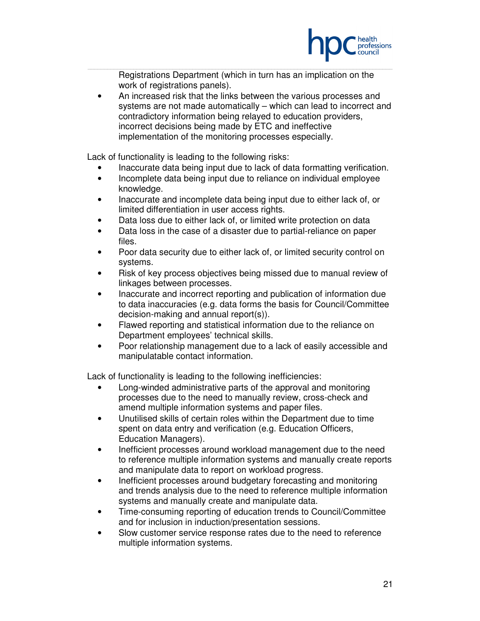

\_\_\_\_\_\_\_\_\_\_\_\_\_\_\_\_\_\_\_\_\_\_\_\_\_\_\_\_\_\_\_\_\_\_\_\_\_\_\_\_\_\_\_\_\_\_\_\_\_\_\_\_\_\_\_\_\_\_\_\_\_\_\_\_\_\_\_\_\_\_\_\_\_\_\_\_\_\_\_\_\_\_\_\_\_\_\_\_\_\_\_\_\_ Registrations Department (which in turn has an implication on the work of registrations panels).

• An increased risk that the links between the various processes and systems are not made automatically – which can lead to incorrect and contradictory information being relayed to education providers, incorrect decisions being made by ETC and ineffective implementation of the monitoring processes especially.

Lack of functionality is leading to the following risks:

- Inaccurate data being input due to lack of data formatting verification.
- Incomplete data being input due to reliance on individual employee knowledge.
- Inaccurate and incomplete data being input due to either lack of, or limited differentiation in user access rights.
- Data loss due to either lack of, or limited write protection on data
- Data loss in the case of a disaster due to partial-reliance on paper files.
- Poor data security due to either lack of, or limited security control on systems.
- Risk of key process objectives being missed due to manual review of linkages between processes.
- Inaccurate and incorrect reporting and publication of information due to data inaccuracies (e.g. data forms the basis for Council/Committee decision-making and annual report(s)).
- Flawed reporting and statistical information due to the reliance on Department employees' technical skills.
- Poor relationship management due to a lack of easily accessible and manipulatable contact information.

Lack of functionality is leading to the following inefficiencies:

- Long-winded administrative parts of the approval and monitoring processes due to the need to manually review, cross-check and amend multiple information systems and paper files.
- Unutilised skills of certain roles within the Department due to time spent on data entry and verification (e.g. Education Officers, Education Managers).
- Inefficient processes around workload management due to the need to reference multiple information systems and manually create reports and manipulate data to report on workload progress.
- Inefficient processes around budgetary forecasting and monitoring and trends analysis due to the need to reference multiple information systems and manually create and manipulate data.
- Time-consuming reporting of education trends to Council/Committee and for inclusion in induction/presentation sessions.
- Slow customer service response rates due to the need to reference multiple information systems.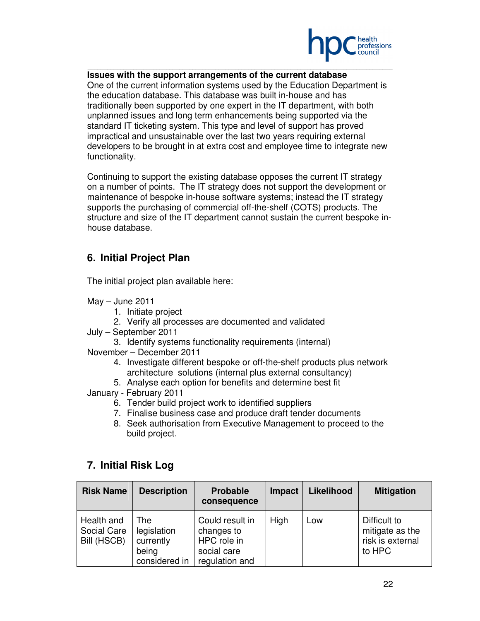

#### **Issues with the support arrangements of the current database**

One of the current information systems used by the Education Department is the education database. This database was built in-house and has traditionally been supported by one expert in the IT department, with both unplanned issues and long term enhancements being supported via the standard IT ticketing system. This type and level of support has proved impractical and unsustainable over the last two years requiring external developers to be brought in at extra cost and employee time to integrate new functionality.

\_\_\_\_\_\_\_\_\_\_\_\_\_\_\_\_\_\_\_\_\_\_\_\_\_\_\_\_\_\_\_\_\_\_\_\_\_\_\_\_\_\_\_\_\_\_\_\_\_\_\_\_\_\_\_\_\_\_\_\_\_\_\_\_\_\_\_\_\_\_\_\_\_\_\_\_\_\_\_\_\_\_\_\_\_\_\_\_\_\_\_\_\_

Continuing to support the existing database opposes the current IT strategy on a number of points. The IT strategy does not support the development or maintenance of bespoke in-house software systems; instead the IT strategy supports the purchasing of commercial off-the-shelf (COTS) products. The structure and size of the IT department cannot sustain the current bespoke inhouse database.

## **6. Initial Project Plan**

The initial project plan available here:

- May June 2011
	- 1. Initiate project
	- 2. Verify all processes are documented and validated
- July September 2011
	- 3. Identify systems functionality requirements (internal)

November – December 2011

- 4. Investigate different bespoke or off-the-shelf products plus network architecture solutions (internal plus external consultancy)
- 5. Analyse each option for benefits and determine best fit

January - February 2011

- 6. Tender build project work to identified suppliers
- 7. Finalise business case and produce draft tender documents
- 8. Seek authorisation from Executive Management to proceed to the build project.

### **7. Initial Risk Log**

| <b>Risk Name</b>                         | <b>Description</b>                                        | <b>Probable</b><br>consequence                                                | <b>Impact</b> | Likelihood | <b>Mitigation</b>                                             |
|------------------------------------------|-----------------------------------------------------------|-------------------------------------------------------------------------------|---------------|------------|---------------------------------------------------------------|
| Health and<br>Social Care<br>Bill (HSCB) | The<br>legislation<br>currently<br>being<br>considered in | Could result in<br>changes to<br>HPC role in<br>social care<br>regulation and | High          | Low        | Difficult to<br>mitigate as the<br>risk is external<br>to HPC |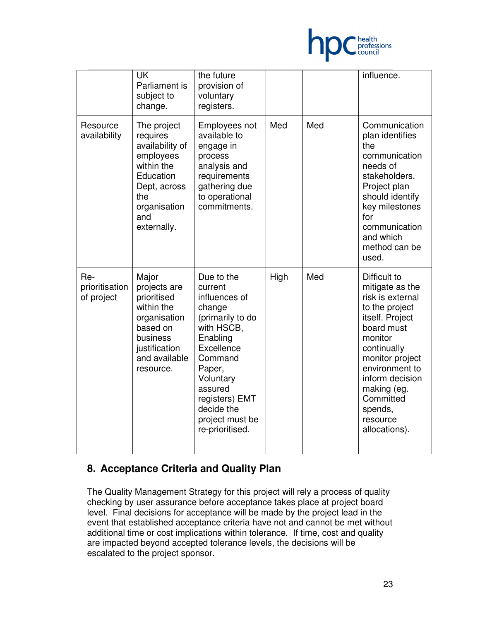

|                                     | <b>UK</b><br>Parliament is<br>subject to<br>change.                                                                                             | the future<br>provision of<br>voluntary<br>registers.                                                                                                                                                                           |      |     | influence.                                                                                                                                                                                                                                                   |
|-------------------------------------|-------------------------------------------------------------------------------------------------------------------------------------------------|---------------------------------------------------------------------------------------------------------------------------------------------------------------------------------------------------------------------------------|------|-----|--------------------------------------------------------------------------------------------------------------------------------------------------------------------------------------------------------------------------------------------------------------|
| Resource<br>availability            | The project<br>requires<br>availability of<br>employees<br>within the<br>Education<br>Dept, across<br>the<br>organisation<br>and<br>externally. | Employees not<br>available to<br>engage in<br>process<br>analysis and<br>requirements<br>gathering due<br>to operational<br>commitments.                                                                                        | Med  | Med | Communication<br>plan identifies<br>the<br>communication<br>needs of<br>stakeholders.<br>Project plan<br>should identify<br>key milestones<br>for<br>communication<br>and which<br>method can be<br>used.                                                    |
| Re-<br>prioritisation<br>of project | Major<br>projects are<br>prioritised<br>within the<br>organisation<br>based on<br>business<br>justification<br>and available<br>resource.       | Due to the<br>current<br>influences of<br>change<br>(primarily to do<br>with HSCB,<br>Enabling<br>Excellence<br>Command<br>Paper,<br>Voluntary<br>assured<br>registers) EMT<br>decide the<br>project must be<br>re-prioritised. | High | Med | Difficult to<br>mitigate as the<br>risk is external<br>to the project<br>itself. Project<br>board must<br>monitor<br>continually<br>monitor project<br>environment to<br>inform decision<br>making (eg.<br>Committed<br>spends,<br>resource<br>allocations). |

## **8. Acceptance Criteria and Quality Plan**

The Quality Management Strategy for this project will rely a process of quality checking by user assurance before acceptance takes place at project board level. Final decisions for acceptance will be made by the project lead in the event that established acceptance criteria have not and cannot be met without additional time or cost implications within tolerance. If time, cost and quality are impacted beyond accepted tolerance levels, the decisions will be escalated to the project sponsor.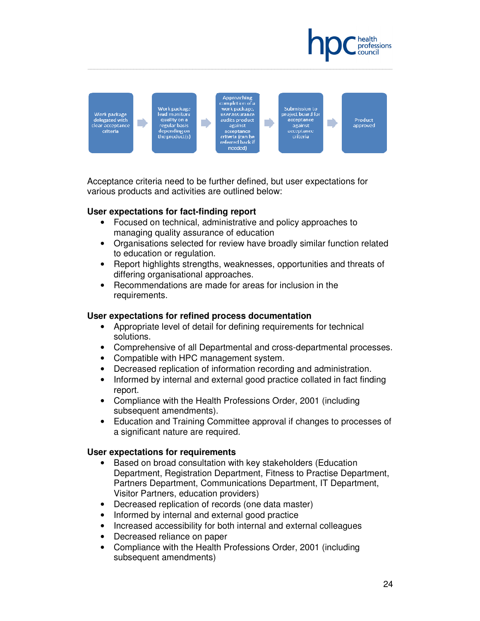



\_\_\_\_\_\_\_\_\_\_\_\_\_\_\_\_\_\_\_\_\_\_\_\_\_\_\_\_\_\_\_\_\_\_\_\_\_\_\_\_\_\_\_\_\_\_\_\_\_\_\_\_\_\_\_\_\_\_\_\_\_\_\_\_\_\_\_\_\_\_\_\_\_\_\_\_\_\_\_\_\_\_\_\_\_\_\_\_\_\_\_\_\_

Acceptance criteria need to be further defined, but user expectations for various products and activities are outlined below:

#### **User expectations for fact-finding report**

- Focused on technical, administrative and policy approaches to managing quality assurance of education
- Organisations selected for review have broadly similar function related to education or regulation.
- Report highlights strengths, weaknesses, opportunities and threats of differing organisational approaches.
- Recommendations are made for areas for inclusion in the requirements.

#### **User expectations for refined process documentation**

- Appropriate level of detail for defining requirements for technical solutions.
- Comprehensive of all Departmental and cross-departmental processes.
- Compatible with HPC management system.
- Decreased replication of information recording and administration.
- Informed by internal and external good practice collated in fact finding report.
- Compliance with the Health Professions Order, 2001 (including subsequent amendments).
- Education and Training Committee approval if changes to processes of a significant nature are required.

#### **User expectations for requirements**

- Based on broad consultation with key stakeholders (Education Department, Registration Department, Fitness to Practise Department, Partners Department, Communications Department, IT Department, Visitor Partners, education providers)
- Decreased replication of records (one data master)
- Informed by internal and external good practice
- Increased accessibility for both internal and external colleagues
- Decreased reliance on paper
- Compliance with the Health Professions Order, 2001 (including subsequent amendments)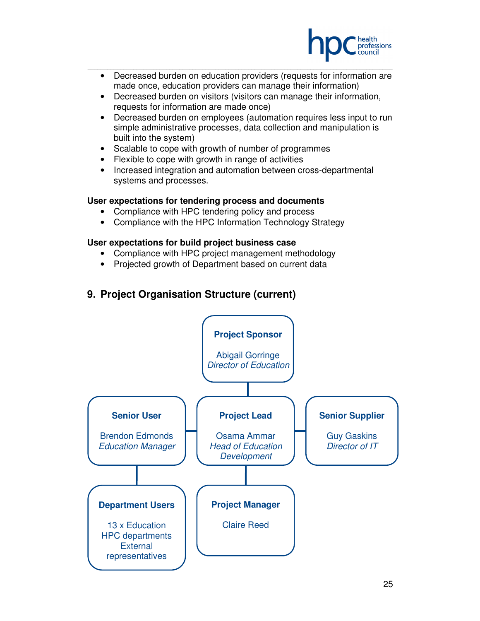

- Decreased burden on education providers (requests for information are made once, education providers can manage their information)
- Decreased burden on visitors (visitors can manage their information, requests for information are made once)

\_\_\_\_\_\_\_\_\_\_\_\_\_\_\_\_\_\_\_\_\_\_\_\_\_\_\_\_\_\_\_\_\_\_\_\_\_\_\_\_\_\_\_\_\_\_\_\_\_\_\_\_\_\_\_\_\_\_\_\_\_\_\_\_\_\_\_\_\_\_\_\_\_\_\_\_\_\_\_\_\_\_\_\_\_\_\_\_\_\_\_\_\_

- Decreased burden on employees (automation requires less input to run simple administrative processes, data collection and manipulation is built into the system)
- Scalable to cope with growth of number of programmes
- Flexible to cope with growth in range of activities
- Increased integration and automation between cross-departmental systems and processes.

#### **User expectations for tendering process and documents**

- Compliance with HPC tendering policy and process
- Compliance with the HPC Information Technology Strategy

#### **User expectations for build project business case**

- Compliance with HPC project management methodology
- Projected growth of Department based on current data

## **9. Project Organisation Structure (current)**